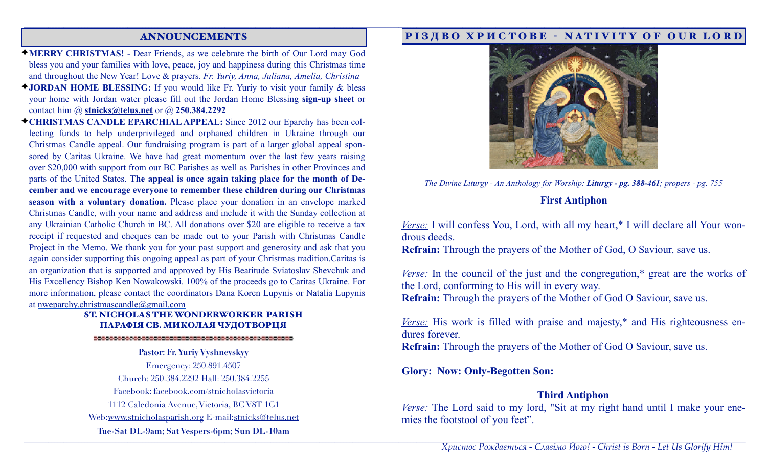## ANNOUNCEMENTS

- ✦**MERRY CHRISTMAS!** Dear Friends, as we celebrate the birth of Our Lord may God bless you and your families with love, peace, joy and happiness during this Christmas time and throughout the New Year! Love & prayers. *Fr. Yuriy, Anna, Juliana, Amelia, Christina*
- ✦**JORDAN HOME BLESSING:** If you would like Fr. Yuriy to visit your family & bless your home with Jordan water please fill out the Jordan Home Blessing **sign-up sheet** or contact him @ **[stnicks@telus.net](mailto:stnicks@telus.net)** or @ **250.384.2292**
- ✦**CHRISTMAS CANDLE EPARCHIAL APPEAL:** Since 2012 our Eparchy has been collecting funds to help underprivileged and orphaned children in Ukraine through our Christmas Candle appeal. Our fundraising program is part of a larger global appeal sponsored by Caritas Ukraine. We have had great momentum over the last few years raising over \$20,000 with support from our BC Parishes as well as Parishes in other Provinces and parts of the United States. **The appeal is once again taking place for the month of December and we encourage everyone to remember these children during our Christmas season with a voluntary donation.** Please place your donation in an envelope marked Christmas Candle, with your name and address and include it with the Sunday collection at any Ukrainian Catholic Church in BC. All donations over \$20 are eligible to receive a tax receipt if requested and cheques can be made out to your Parish with Christmas Candle Project in the Memo. We thank you for your past support and generosity and ask that you again consider supporting this ongoing appeal as part of your Christmas tradition.Caritas is an organization that is supported and approved by His Beatitude Sviatoslav Shevchuk and His Excellency Bishop Ken Nowakowski. 100% of the proceeds go to Caritas Ukraine. For more information, please contact the coordinators Dana Koren Lupynis or Natalia Lupynis at [nweparchy.christmascandle@gmail.com](mailto:nweparchy.christmascandle@gmail.com)

#### ST. NICHOLAS THE WONDERWORKER PARISH ПАРАФІЯ СВ. МИКОЛАЯ ЧУДОТВОРЦЯ

**Pastor: Fr. Yuriy Vyshnevskyy**  Emergency: 250.891.4507 Church: 250.384.2292 Hall: 250.384.2255 Facebook: facebook.com/stnicholasvictoria 1112 Caledonia Avenue, Victoria, BC V8T 1G1 Web:[www.stnicholasparish.org](http://www.stnicholasparish.org) E-mail[:stnicks@telus.net](mailto:stnicks@telus.net) **Tue-Sat DL-9am; Sat Vespers-6pm; Sun DL-10am**

### РІЗДВО ХРИСТОВЕ - NATIVITY OF OUR LORD



*The Divine Liturgy - An Anthology for Worship: Liturgy - pg. 388-461; propers - pg. 755* 

### **First Antiphon**

*Verse:* I will confess You, Lord, with all my heart,\* I will declare all Your wondrous deeds.

**Refrain:** Through the prayers of the Mother of God, O Saviour, save us.

*Verse:* In the council of the just and the congregation,\* great are the works of the Lord, conforming to His will in every way. **Refrain:** Through the prayers of the Mother of God O Saviour, save us.

*Verse:* His work is filled with praise and majesty,\* and His righteousness endures forever.

**Refrain:** Through the prayers of the Mother of God O Saviour, save us.

**Glory: Now: Only-Begotten Son:** 

<u>,</u>他们的人们就会在这里的人们的人们,他们的人们就会在这里的人们,他们的人们就会在这里的人们,他们的人们就会在这里的人们,他们的人们就会在这里的人们,他们的人们

# **Third Antiphon**

*Verse:* The Lord said to my lord, "Sit at my right hand until I make your enemies the footstool of you feet".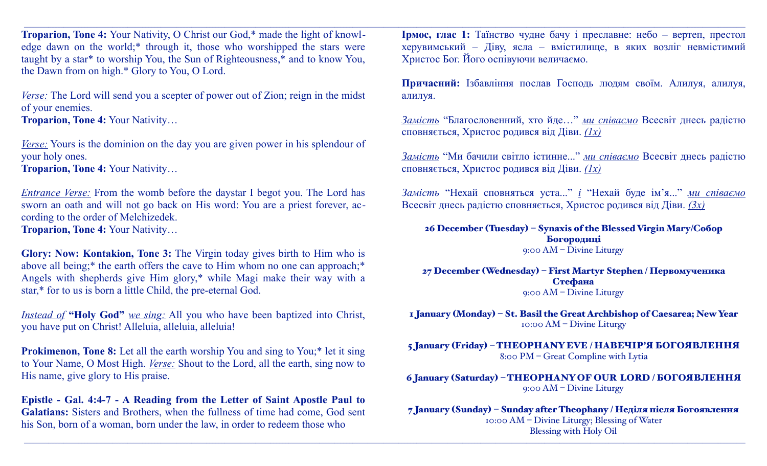**Troparion, Tone 4:** Your Nativity, O Christ our God,\* made the light of knowledge dawn on the world;\* through it, those who worshipped the stars were taught by a star\* to worship You, the Sun of Righteousness,\* and to know You, the Dawn from on high.\* Glory to You, O Lord.

*Verse:* The Lord will send you a scepter of power out of Zion; reign in the midst of your enemies.

**Troparion, Tone 4:** Your Nativity…

*Verse:* Yours is the dominion on the day you are given power in his splendour of your holy ones.

**Troparion, Tone 4:** Your Nativity…

*Entrance Verse:* From the womb before the daystar I begot you. The Lord has sworn an oath and will not go back on His word: You are a priest forever, according to the order of Melchizedek. **Troparion, Tone 4:** Your Nativity…

**Glory: Now: Kontakion, Tone 3:** The Virgin today gives birth to Him who is above all being;\* the earth offers the cave to Him whom no one can approach;\* Angels with shepherds give Him glory,\* while Magi make their way with a star,\* for to us is born a little Child, the pre-eternal God.

*Instead of* **"Holy God"** *we sing:* All you who have been baptized into Christ, you have put on Christ! Alleluia, alleluia, alleluia!

**Prokimenon, Tone 8:** Let all the earth worship You and sing to You;\* let it sing to Your Name, O Most High. *Verse:* Shout to the Lord, all the earth, sing now to His name, give glory to His praise.

**Epistle - Gal. 4:4-7 - A Reading from the Letter of Saint Apostle Paul to Galatians:** Sisters and Brothers, when the fullness of time had come, God sent his Son, born of a woman, born under the law, in order to redeem those who

**Ірмос, глас 1:** Таїнство чудне бачу і преславне: небо – вертеп, престол херувимський – Діву, ясла – вмістилище, в яких возліг невмістимий Христос Бог. Його оспівуючи величаємо.

<u>,</u>这个人的人都是不是,这个人的人都是不是,我们的人都是不是,我们的人都是不是,我们的人都是不是,我们的人都是不是,我们的人都是不是,我们的人都是不是,我们的人

<u>,</u>这个人的人都是不是,这个人的人都是不是,我们的人都是不是,我们的人都是不是,我们的人都是不是,我们的人都是不是,我们的人都是不是,我们的人都是不是,我们的人

**Причасний:** Ізбавління послав Господь людям своїм. Алилуя, алилуя, алилуя.

*Замість* "Благословенний, хто йде…" *ми співаємо* Всесвіт днесь радістю сповняється, Христос родився від Діви. *(1х)*

*Замість* "Ми бачили світло істинне..." *ми співаємо* Всесвіт днесь радістю сповняється, Христос родився від Діви. *(1х)*

*Замість* "Нехай сповняться уста..." *і* "Нехай буде ім'я..." *ми співаємо* Всесвіт днесь радістю сповняється, Христос родився від Діви. *(3х)*

26 December (Tuesday) – Synaxis of the Blessed Virgin Mary/Собор Богородиці 9:00 AM – Divine Liturgy

27 December (Wednesday) – First Martyr Stephen / Первомученика Стефана 9:00 AM – Divine Liturgy

1 January (Monday) – St. Basil the Great Archbishop of Caesarea; New Year 10:00 AM – Divine Liturgy

5 January (Friday) – THEOPHANY EVE / НАВЕЧІР'Я БОГОЯВЛЕННЯ 8:00 PM – Great Compline with Lytia

6 January (Saturday) – THEOPHANY OF OUR LORD / БОГОЯВЛЕННЯ 9:00 AM – Divine Liturgy

7 January (Sunday) – Sunday after Theophany / Неділя після Богоявлення 10:00 AM – Divine Liturgy; Blessing of Water Blessing with Holy Oil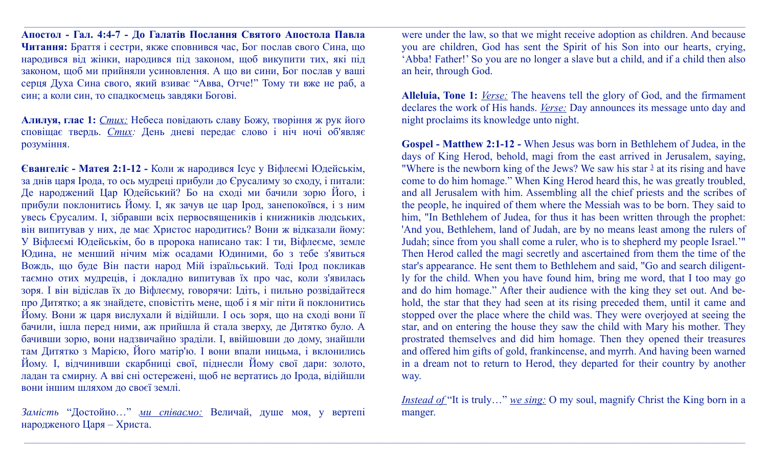**Апостол - Гал. 4:4-7 - До Галатів Послання Святого Апостола Павла Читання:** Браття і сестри, якже сповнився час, Бог послав свого Сина, що народився від жінки, народився під законом, щоб викупити тих, які під законом, щоб ми прийняли усиновлення. А що ви сини, Бог послав у ваші серця Духа Сина свого, який взиває "Авва, Отче!" Тому ти вже не раб, а син; а коли син, то спадкоємець завдяки Богові.

**Алилуя, глас 1:** *Стих:* Небеса повідають славу Божу, творіння ж рук його сповіщає твердь. *Стих:* День дневі передає слово і ніч ночі об'являє розуміння.

**Євангеліє - Матея 2:1-12 -** Коли ж народився Ісус у Віфлеємі Юдейськім, за днів царя Ірода, то ось мудреці прибули до Єрусалиму зо сходу, і питали: Де народжений Цар Юдейський? Бо на сході ми бачили зорю Його, і прибули поклонитись Йому. І, як зачув це цар Ірод, занепокоївся, і з ним увесь Єрусалим. І, зібравши всіх первосвящеників і книжників людських, він випитував у них, де має Христос народитись? Вони ж відказали йому: У Віфлеємі Юдейськім, бо в пророка написано так: І ти, Віфлеєме, земле Юдина, не менший нічим між осадами Юдиними, бо з тебе з'явиться Вождь, що буде Він пасти народ Мій ізраїльський. Тоді Ірод покликав таємно отих мудреців, і докладно випитував їх про час, коли з'явилась зоря. І він відіслав їх до Віфлеєму, говорячи: Ідіть, і пильно розвідайтеся про Дитятко; а як знайдете, сповістіть мене, щоб і я міг піти й поклонитись Йому. Вони ж царя вислухали й відійшли. І ось зоря, що на сході вони її бачили, ішла перед ними, аж прийшла й стала зверху, де Дитятко було. А бачивши зорю, вони надзвичайно зраділи. І, ввійшовши до дому, знайшли там Дитятко з Марією, Його матір'ю. І вони впали ницьма, і вклонились Йому. І, відчинивши скарбниці свої, піднесли Йому свої дари: золото, ладан та смирну. А вві сні остережені, щоб не вертатись до Ірода, відійшли вони іншим шляхом до своєї землі.

*Замість* "Достойно…" *ми співаємо:* Величай, душе моя, у вертепі народженого Царя – Христа.

were under the law, so that we might receive adoption as children. And because you are children, God has sent the Spirit of his Son into our hearts, crying, 'Abba! Father!' So you are no longer a slave but a child, and if a child then also an heir, through God.

<u>,</u>这个人的人都是不是,这个人的人都是不是,我们的人都是不是,我们的人都是不是,我们的人都是不是,我们的人都是不是,我们的人都是不是,我们的人都是不是,我们的人

<u>,</u>这个人的人都是不是,这个人的人都是不是,我们的人都是不是,我们的人都是不是,我们的人都是不是,我们的人都是不是,我们的人都是不是,我们的人都是不是,我们的人

**Alleluia, Tone 1:** *Verse:* The heavens tell the glory of God, and the firmament declares the work of His hands. *Verse:* Day announces its message unto day and night proclaims its knowledge unto night.

**Gospel - Matthew 2:1-12 -** When Jesus was born in Bethlehem of Judea, in the days of King Herod, behold, magi from the east arrived in Jerusalem, saying, "Where is the newborn king of the Jews? We saw his star  $\frac{3}{2}$  at its rising and have come to do him homage." When King Herod heard this, he was greatly troubled, and all Jerusalem with him. Assembling all the chief priests and the scribes of the people, he inquired of them where the Messiah was to be born. They said to him, "In Bethlehem of Judea, for thus it has been written through the prophet: 'And you, Bethlehem, land of Judah, are by no means least among the rulers of Judah; since from you shall come a ruler, who is to shepherd my people Israel.'" Then Herod called the magi secretly and ascertained from them the time of the star's appearance. He sent them to Bethlehem and said, "Go and search diligently for the child. When you have found him, bring me word, that I too may go and do him homage." After their audience with the king they set out. And behold, the star that they had seen at its rising preceded them, until it came and stopped over the place where the child was. They were overjoyed at seeing the star, and on entering the house they saw the child with Mary his mother. They prostrated themselves and did him homage. Then they opened their treasures and offered him gifts of gold, frankincense, and myrrh. And having been warned in a dream not to return to Herod, they departed for their country by another way.

*Instead of* "It is truly..." *we sing:* O my soul, magnify Christ the King born in a manger.